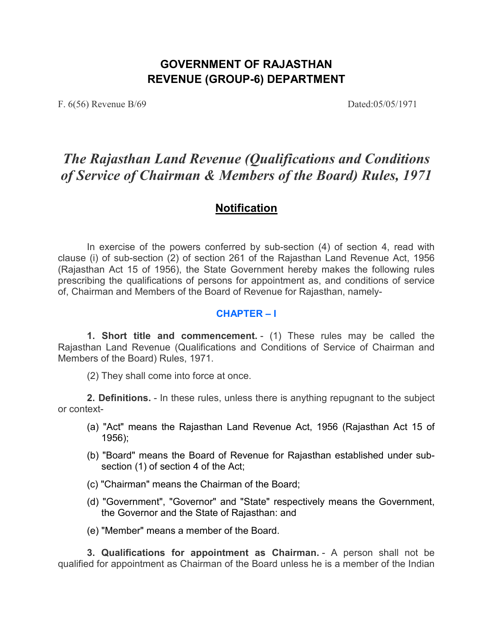# **GOVERNMENT OF RAJASTHAN REVENUE (GROUP-6) DEPARTMENT**

F. 6(56) Revenue B/69 Dated:05/05/1971

# *The Rajasthan Land Revenue (Qualifications and Conditions of Service of Chairman & Members of the Board) Rules, 1971*

## **Notification**

In exercise of the powers conferred by sub-section (4) of section 4, read with clause (i) of sub-section (2) of section 261 of the Rajasthan Land Revenue Act, 1956 (Rajasthan Act 15 of 1956), the State Government hereby makes the following rules prescribing the qualifications of persons for appointment as, and conditions of service of, Chairman and Members of the Board of Revenue for Rajasthan, namely-

#### **CHAPTER – I**

**1. Short title and commencement.** - (1) These rules may be called the Rajasthan Land Revenue (Qualifications and Conditions of Service of Chairman and Members of the Board) Rules, 1971.

(2) They shall come into force at once.

**2. Definitions.** - In these rules, unless there is anything repugnant to the subject or context-

- (a) "Act" means the Rajasthan Land Revenue Act, 1956 (Rajasthan Act 15 of 1956);
- (b) "Board" means the Board of Revenue for Rajasthan established under subsection (1) of section 4 of the Act;
- (c) "Chairman" means the Chairman of the Board;
- (d) "Government", "Governor" and "State" respectively means the Government, the Governor and the State of Rajasthan: and
- (e) "Member" means a member of the Board.

**3. Qualifications for appointment as Chairman.** - A person shall not be qualified for appointment as Chairman of the Board unless he is a member of the Indian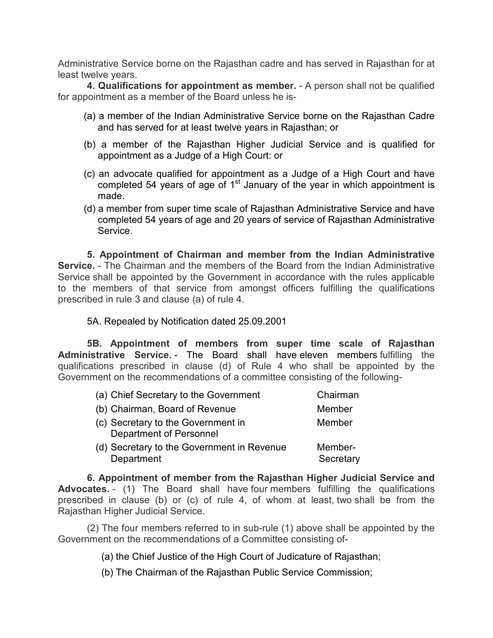Administrative Service borne on the Rajasthan cadre and has served in Rajasthan for at least twelve years.

**4. Qualifications for appointment as member.** - A person shall not be qualified for appointment as a member of the Board unless he is-

- (a) a member of the Indian Administrative Service borne on the Rajasthan Cadre and has served for at least twelve years in Rajasthan; or
- (b) a member of the Rajasthan Higher Judicial Service and is qualified for appointment as a Judge of a High Court: or
- (c) an advocate qualified for appointment as a Judge of a High Court and have completed 54 years of age of 1<sup>st</sup> January of the year in which appointment is made.
- (d) a member from super time scale of Rajasthan Administrative Service and have completed 54 years of age and 20 years of service of Rajasthan Administrative Service.

**5. Appointment of Chairman and member from the Indian Administrative Service.** - The Chairman and the members of the Board from the Indian Administrative Service shall be appointed by the Government in accordance with the rules applicable to the members of that service from amongst officers fulfilling the qualifications prescribed in rule 3 and clause (a) of rule 4.

5A. Repealed by Notification dated 25.09.2001

**5B. Appointment of members from super time scale of Rajasthan Administrative Service.** - The Board shall have eleven members fulfilling the qualifications prescribed in clause (d) of Rule 4 who shall be appointed by the Government on the recommendations of a committee consisting of the following-

| (a) Chief Secretary to the Government                                | Chairman             |
|----------------------------------------------------------------------|----------------------|
| (b) Chairman, Board of Revenue                                       | Member               |
| (c) Secretary to the Government in<br><b>Department of Personnel</b> | Member               |
| (d) Secretary to the Government in Revenue<br>Department             | Member-<br>Secretary |

**6. Appointment of member from the Rajasthan Higher Judicial Service and Advocates.** - (1) The Board shall have four members fulfilling the qualifications prescribed in clause (b) or (c) of rule 4, of whom at least, two shall be from the Rajasthan Higher Judicial Service.

(2) The four members referred to in sub-rule (1) above shall be appointed by the Government on the recommendations of a Committee consisting of-

(a) the Chief Justice of the High Court of Judicature of Rajasthan;

(b) The Chairman of the Rajasthan Public Service Commission;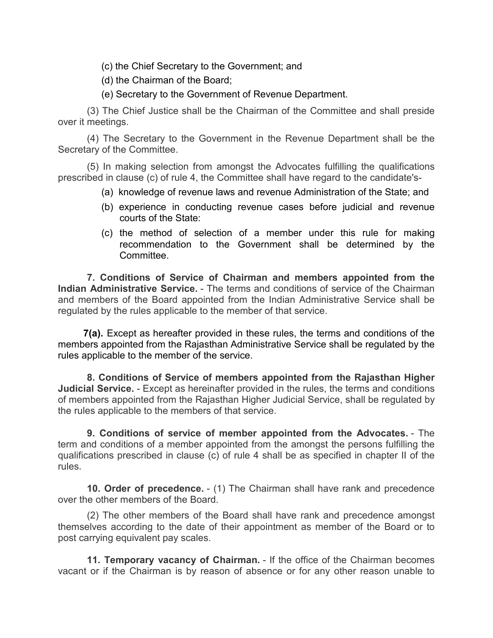(c) the Chief Secretary to the Government; and

(d) the Chairman of the Board;

(e) Secretary to the Government of Revenue Department.

(3) The Chief Justice shall be the Chairman of the Committee and shall preside over it meetings.

(4) The Secretary to the Government in the Revenue Department shall be the Secretary of the Committee.

(5) In making selection from amongst the Advocates fulfilling the qualifications prescribed in clause (c) of rule 4, the Committee shall have regard to the candidate's-

- (a) knowledge of revenue laws and revenue Administration of the State; and
- (b) experience in conducting revenue cases before judicial and revenue courts of the State:
- (c) the method of selection of a member under this rule for making recommendation to the Government shall be determined by the Committee.

**7. Conditions of Service of Chairman and members appointed from the Indian Administrative Service.** - The terms and conditions of service of the Chairman and members of the Board appointed from the Indian Administrative Service shall be regulated by the rules applicable to the member of that service.

**7(a).** Except as hereafter provided in these rules, the terms and conditions of the members appointed from the Rajasthan Administrative Service shall be regulated by the rules applicable to the member of the service.

**8. Conditions of Service of members appointed from the Rajasthan Higher Judicial Service.** - Except as hereinafter provided in the rules, the terms and conditions of members appointed from the Rajasthan Higher Judicial Service, shall be regulated by the rules applicable to the members of that service.

**9. Conditions of service of member appointed from the Advocates.** - The term and conditions of a member appointed from the amongst the persons fulfilling the qualifications prescribed in clause (c) of rule 4 shall be as specified in chapter II of the rules.

**10. Order of precedence.** - (1) The Chairman shall have rank and precedence over the other members of the Board.

(2) The other members of the Board shall have rank and precedence amongst themselves according to the date of their appointment as member of the Board or to post carrying equivalent pay scales.

**11. Temporary vacancy of Chairman.** - If the office of the Chairman becomes vacant or if the Chairman is by reason of absence or for any other reason unable to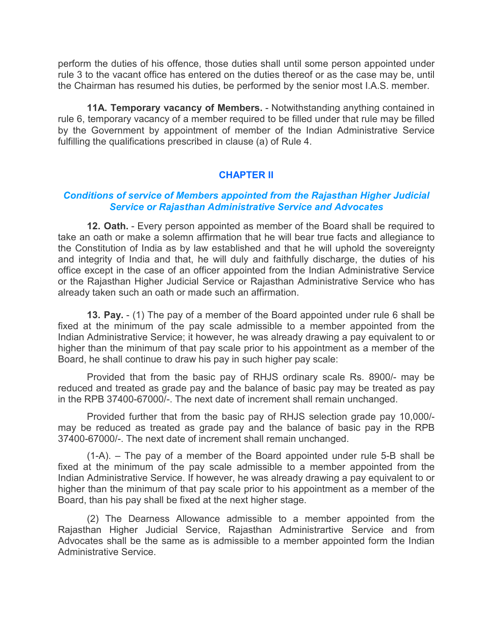perform the duties of his offence, those duties shall until some person appointed under rule 3 to the vacant office has entered on the duties thereof or as the case may be, until the Chairman has resumed his duties, be performed by the senior most I.A.S. member.

**11A. Temporary vacancy of Members.** - Notwithstanding anything contained in rule 6, temporary vacancy of a member required to be filled under that rule may be filled by the Government by appointment of member of the Indian Administrative Service fulfilling the qualifications prescribed in clause (a) of Rule 4.

### **CHAPTER II**

#### *Conditions of service of Members appointed from the Rajasthan Higher Judicial Service or Rajasthan Administrative Service and Advocates*

**12. Oath.** - Every person appointed as member of the Board shall be required to take an oath or make a solemn affirmation that he will bear true facts and allegiance to the Constitution of India as by law established and that he will uphold the sovereignty and integrity of India and that, he will duly and faithfully discharge, the duties of his office except in the case of an officer appointed from the Indian Administrative Service or the Rajasthan Higher Judicial Service or Rajasthan Administrative Service who has already taken such an oath or made such an affirmation.

**13. Pay.** - (1) The pay of a member of the Board appointed under rule 6 shall be fixed at the minimum of the pay scale admissible to a member appointed from the Indian Administrative Service; it however, he was already drawing a pay equivalent to or higher than the minimum of that pay scale prior to his appointment as a member of the Board, he shall continue to draw his pay in such higher pay scale:

Provided that from the basic pay of RHJS ordinary scale Rs. 8900/- may be reduced and treated as grade pay and the balance of basic pay may be treated as pay in the RPB 37400-67000/-. The next date of increment shall remain unchanged.

Provided further that from the basic pay of RHJS selection grade pay 10,000/ may be reduced as treated as grade pay and the balance of basic pay in the RPB 37400-67000/-. The next date of increment shall remain unchanged.

(1-A). – The pay of a member of the Board appointed under rule 5-B shall be fixed at the minimum of the pay scale admissible to a member appointed from the Indian Administrative Service. If however, he was already drawing a pay equivalent to or higher than the minimum of that pay scale prior to his appointment as a member of the Board, than his pay shall be fixed at the next higher stage.

(2) The Dearness Allowance admissible to a member appointed from the Rajasthan Higher Judicial Service, Rajasthan Administrartive Service and from Advocates shall be the same as is admissible to a member appointed form the Indian Administrative Service.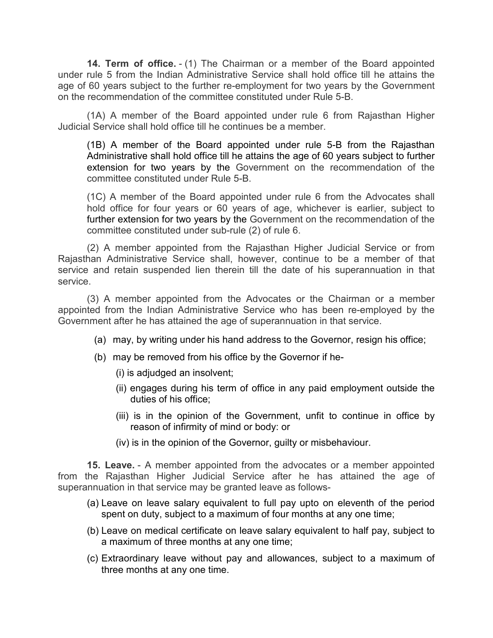**14. Term of office.** - (1) The Chairman or a member of the Board appointed under rule 5 from the Indian Administrative Service shall hold office till he attains the age of 60 years subject to the further re-employment for two years by the Government on the recommendation of the committee constituted under Rule 5-B.

(1A) A member of the Board appointed under rule 6 from Rajasthan Higher Judicial Service shall hold office till he continues be a member.

(1B) A member of the Board appointed under rule 5-B from the Rajasthan Administrative shall hold office till he attains the age of 60 years subject to further extension for two years by the Government on the recommendation of the committee constituted under Rule 5-B.

(1C) A member of the Board appointed under rule 6 from the Advocates shall hold office for four years or 60 years of age, whichever is earlier, subject to further extension for two years by the Government on the recommendation of the committee constituted under sub-rule (2) of rule 6.

(2) A member appointed from the Rajasthan Higher Judicial Service or from Rajasthan Administrative Service shall, however, continue to be a member of that service and retain suspended lien therein till the date of his superannuation in that service.

(3) A member appointed from the Advocates or the Chairman or a member appointed from the Indian Administrative Service who has been re-employed by the Government after he has attained the age of superannuation in that service.

- (a) may, by writing under his hand address to the Governor, resign his office;
- (b) may be removed from his office by the Governor if he-

(i) is adjudged an insolvent;

- (ii) engages during his term of office in any paid employment outside the duties of his office;
- (iii) is in the opinion of the Government, unfit to continue in office by reason of infirmity of mind or body: or
- (iv) is in the opinion of the Governor, guilty or misbehaviour.

**15. Leave.** - A member appointed from the advocates or a member appointed from the Rajasthan Higher Judicial Service after he has attained the age of superannuation in that service may be granted leave as follows-

- (a) Leave on leave salary equivalent to full pay upto on eleventh of the period spent on duty, subject to a maximum of four months at any one time;
- (b) Leave on medical certificate on leave salary equivalent to half pay, subject to a maximum of three months at any one time;
- (c) Extraordinary leave without pay and allowances, subject to a maximum of three months at any one time.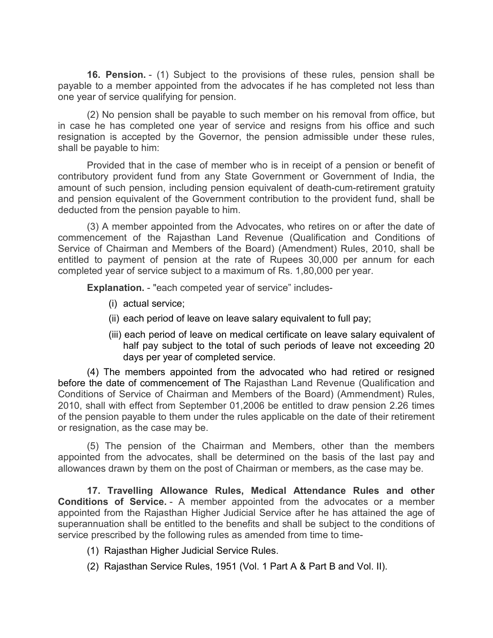**16. Pension.** - (1) Subject to the provisions of these rules, pension shall be payable to a member appointed from the advocates if he has completed not less than one year of service qualifying for pension.

(2) No pension shall be payable to such member on his removal from office, but in case he has completed one year of service and resigns from his office and such resignation is accepted by the Governor, the pension admissible under these rules, shall be payable to him:

Provided that in the case of member who is in receipt of a pension or benefit of contributory provident fund from any State Government or Government of India, the amount of such pension, including pension equivalent of death-cum-retirement gratuity and pension equivalent of the Government contribution to the provident fund, shall be deducted from the pension payable to him.

(3) A member appointed from the Advocates, who retires on or after the date of commencement of the Rajasthan Land Revenue (Qualification and Conditions of Service of Chairman and Members of the Board) (Amendment) Rules, 2010, shall be entitled to payment of pension at the rate of Rupees 30,000 per annum for each completed year of service subject to a maximum of Rs. 1,80,000 per year.

**Explanation.** - "each competed year of service" includes-

- (i) actual service;
- (ii) each period of leave on leave salary equivalent to full pay;
- (iii) each period of leave on medical certificate on leave salary equivalent of half pay subject to the total of such periods of leave not exceeding 20 days per year of completed service.

(4) The members appointed from the advocated who had retired or resigned before the date of commencement of The Rajasthan Land Revenue (Qualification and Conditions of Service of Chairman and Members of the Board) (Ammendment) Rules, 2010, shall with effect from September 01,2006 be entitled to draw pension 2.26 times of the pension payable to them under the rules applicable on the date of their retirement or resignation, as the case may be.

(5) The pension of the Chairman and Members, other than the members appointed from the advocates, shall be determined on the basis of the last pay and allowances drawn by them on the post of Chairman or members, as the case may be.

**17. Travelling Allowance Rules, Medical Attendance Rules and other Conditions of Service.** - A member appointed from the advocates or a member appointed from the Rajasthan Higher Judicial Service after he has attained the age of superannuation shall be entitled to the benefits and shall be subject to the conditions of service prescribed by the following rules as amended from time to time-

- (1) Rajasthan Higher Judicial Service Rules.
- (2) Rajasthan Service Rules, 1951 (Vol. 1 Part A & Part B and Vol. II).